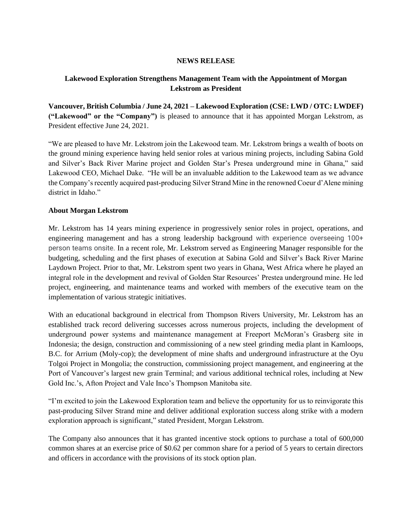## **NEWS RELEASE**

# **Lakewood Exploration Strengthens Management Team with the Appointment of Morgan Lekstrom as President**

**Vancouver, British Columbia / June 24, 2021 – Lakewood Exploration (CSE: LWD / OTC: LWDEF) ("Lakewood" or the "Company")** is pleased to announce that it has appointed Morgan Lekstrom, as President effective June 24, 2021.

"We are pleased to have Mr. Lekstrom join the Lakewood team. Mr. Lekstrom brings a wealth of boots on the ground mining experience having held senior roles at various mining projects, including Sabina Gold and Silver's Back River Marine project and Golden Star's Presea underground mine in Ghana," said Lakewood CEO, Michael Dake. "He will be an invaluable addition to the Lakewood team as we advance the Company's recently acquired past-producing Silver Strand Mine in the renowned Coeur d'Alene mining district in Idaho."

### **About Morgan Lekstrom**

Mr. Lekstrom has 14 years mining experience in progressively senior roles in project, operations, and engineering management and has a strong leadership background with experience overseeing 100+ person teams onsite. In a recent role, Mr. Lekstrom served as Engineering Manager responsible for the budgeting, scheduling and the first phases of execution at Sabina Gold and Silver's Back River Marine Laydown Project. Prior to that, Mr. Lekstrom spent two years in Ghana, West Africa where he played an integral role in the development and revival of Golden Star Resources' Prestea underground mine. He led project, engineering, and maintenance teams and worked with members of the executive team on the implementation of various strategic initiatives.

With an educational background in electrical from Thompson Rivers University, Mr. Lekstrom has an established track record delivering successes across numerous projects, including the development of underground power systems and maintenance management at Freeport McMoran's Grasberg site in Indonesia; the design, construction and commissioning of a new steel grinding media plant in Kamloops, B.C. for Arrium (Moly-cop); the development of mine shafts and underground infrastructure at the Oyu Tolgoi Project in Mongolia; the construction, commissioning project management, and engineering at the Port of Vancouver's largest new grain Terminal; and various additional technical roles, including at New Gold Inc.'s, Afton Project and Vale Inco's Thompson Manitoba site.

"I'm excited to join the Lakewood Exploration team and believe the opportunity for us to reinvigorate this past-producing Silver Strand mine and deliver additional exploration success along strike with a modern exploration approach is significant," stated President, Morgan Lekstrom.

The Company also announces that it has granted incentive stock options to purchase a total of 600,000 common shares at an exercise price of \$0.62 per common share for a period of 5 years to certain directors and officers in accordance with the provisions of its stock option plan.